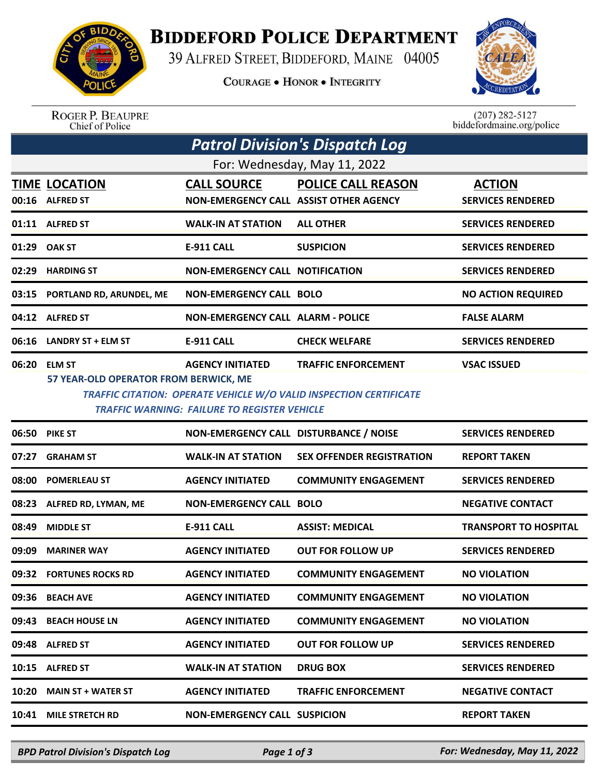

## **BIDDEFORD POLICE DEPARTMENT**

39 ALFRED STREET, BIDDEFORD, MAINE 04005

**COURAGE . HONOR . INTEGRITY** 



ROGER P. BEAUPRE<br>Chief of Police

 $(207)$  282-5127<br>biddefordmaine.org/police

| <b>Patrol Division's Dispatch Log</b> |                                                       |                                                                                |                                                                                                  |                                           |  |  |  |  |
|---------------------------------------|-------------------------------------------------------|--------------------------------------------------------------------------------|--------------------------------------------------------------------------------------------------|-------------------------------------------|--|--|--|--|
| For: Wednesday, May 11, 2022          |                                                       |                                                                                |                                                                                                  |                                           |  |  |  |  |
|                                       | <b>TIME LOCATION</b><br>00:16 ALFRED ST               | <b>CALL SOURCE</b><br>NON-EMERGENCY CALL ASSIST OTHER AGENCY                   | <b>POLICE CALL REASON</b>                                                                        | <b>ACTION</b><br><b>SERVICES RENDERED</b> |  |  |  |  |
|                                       | 01:11 ALFRED ST                                       | <b>WALK-IN AT STATION</b>                                                      | <b>ALL OTHER</b>                                                                                 | <b>SERVICES RENDERED</b>                  |  |  |  |  |
|                                       | 01:29 OAK ST                                          | <b>E-911 CALL</b>                                                              | <b>SUSPICION</b>                                                                                 | <b>SERVICES RENDERED</b>                  |  |  |  |  |
|                                       | 02:29 HARDING ST                                      | <b>NON-EMERGENCY CALL NOTIFICATION</b>                                         |                                                                                                  | <b>SERVICES RENDERED</b>                  |  |  |  |  |
|                                       | 03:15 PORTLAND RD, ARUNDEL, ME                        | <b>NON-EMERGENCY CALL BOLO</b>                                                 |                                                                                                  | <b>NO ACTION REQUIRED</b>                 |  |  |  |  |
|                                       | 04:12 ALFRED ST                                       | <b>NON-EMERGENCY CALL ALARM - POLICE</b>                                       |                                                                                                  | <b>FALSE ALARM</b>                        |  |  |  |  |
|                                       | 06:16 LANDRY ST + ELM ST                              | <b>E-911 CALL</b>                                                              | <b>CHECK WELFARE</b>                                                                             | <b>SERVICES RENDERED</b>                  |  |  |  |  |
|                                       | 06:20 ELM ST<br>57 YEAR-OLD OPERATOR FROM BERWICK, ME | <b>AGENCY INITIATED</b><br><b>TRAFFIC WARNING: FAILURE TO REGISTER VEHICLE</b> | <b>TRAFFIC ENFORCEMENT</b><br>TRAFFIC CITATION: OPERATE VEHICLE W/O VALID INSPECTION CERTIFICATE | <b>VSAC ISSUED</b>                        |  |  |  |  |
| 06:50                                 | <b>PIKE ST</b>                                        | NON-EMERGENCY CALL DISTURBANCE / NOISE                                         |                                                                                                  | <b>SERVICES RENDERED</b>                  |  |  |  |  |
| 07:27                                 | <b>GRAHAM ST</b>                                      | <b>WALK-IN AT STATION</b>                                                      | <b>SEX OFFENDER REGISTRATION</b>                                                                 | <b>REPORT TAKEN</b>                       |  |  |  |  |
| 08:00                                 | <b>POMERLEAU ST</b>                                   | <b>AGENCY INITIATED</b>                                                        | <b>COMMUNITY ENGAGEMENT</b>                                                                      | <b>SERVICES RENDERED</b>                  |  |  |  |  |
| 08:23                                 | ALFRED RD, LYMAN, ME                                  | <b>NON-EMERGENCY CALL BOLO</b>                                                 |                                                                                                  | <b>NEGATIVE CONTACT</b>                   |  |  |  |  |
| 08:49                                 | <b>MIDDLE ST</b>                                      | <b>E-911 CALL</b>                                                              | <b>ASSIST: MEDICAL</b>                                                                           | <b>TRANSPORT TO HOSPITAL</b>              |  |  |  |  |
| 09:09                                 | <b>MARINER WAY</b>                                    | <b>AGENCY INITIATED</b>                                                        | <b>OUT FOR FOLLOW UP</b>                                                                         | <b>SERVICES RENDERED</b>                  |  |  |  |  |
|                                       | 09:32 FORTUNES ROCKS RD                               | <b>AGENCY INITIATED</b>                                                        | <b>COMMUNITY ENGAGEMENT</b>                                                                      | <b>NO VIOLATION</b>                       |  |  |  |  |
|                                       | 09:36 BEACH AVE                                       | <b>AGENCY INITIATED</b>                                                        | <b>COMMUNITY ENGAGEMENT</b>                                                                      | <b>NO VIOLATION</b>                       |  |  |  |  |
| 09:43                                 | <b>BEACH HOUSE LN</b>                                 | <b>AGENCY INITIATED</b>                                                        | <b>COMMUNITY ENGAGEMENT</b>                                                                      | <b>NO VIOLATION</b>                       |  |  |  |  |
| 09:48                                 | <b>ALFRED ST</b>                                      | <b>AGENCY INITIATED</b>                                                        | <b>OUT FOR FOLLOW UP</b>                                                                         | <b>SERVICES RENDERED</b>                  |  |  |  |  |
| 10:15                                 | <b>ALFRED ST</b>                                      | <b>WALK-IN AT STATION</b>                                                      | <b>DRUG BOX</b>                                                                                  | <b>SERVICES RENDERED</b>                  |  |  |  |  |
| 10:20                                 | <b>MAIN ST + WATER ST</b>                             | <b>AGENCY INITIATED</b>                                                        | <b>TRAFFIC ENFORCEMENT</b>                                                                       | <b>NEGATIVE CONTACT</b>                   |  |  |  |  |
| 10:41                                 | <b>MILE STRETCH RD</b>                                | <b>NON-EMERGENCY CALL SUSPICION</b>                                            |                                                                                                  | <b>REPORT TAKEN</b>                       |  |  |  |  |

*BPD Patrol Division's Dispatch Log Page 1 of 3 For: Wednesday, May 11, 2022*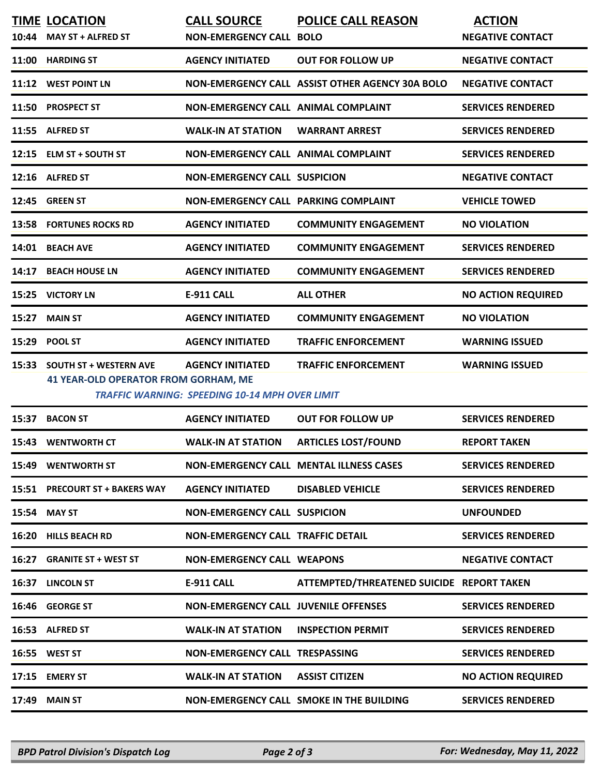|       | <b>TIME LOCATION</b>                                                         | <b>CALL SOURCE</b>                                                        | <b>POLICE CALL REASON</b>                       | <b>ACTION</b>             |
|-------|------------------------------------------------------------------------------|---------------------------------------------------------------------------|-------------------------------------------------|---------------------------|
| 10:44 | <b>MAY ST + ALFRED ST</b>                                                    | <b>NON-EMERGENCY CALL BOLO</b>                                            |                                                 | <b>NEGATIVE CONTACT</b>   |
| 11:00 | <b>HARDING ST</b>                                                            | <b>AGENCY INITIATED</b>                                                   | <b>OUT FOR FOLLOW UP</b>                        | <b>NEGATIVE CONTACT</b>   |
| 11:12 | <b>WEST POINT LN</b>                                                         |                                                                           | NON-EMERGENCY CALL ASSIST OTHER AGENCY 30A BOLO | <b>NEGATIVE CONTACT</b>   |
| 11:50 | <b>PROSPECT ST</b>                                                           | NON-EMERGENCY CALL ANIMAL COMPLAINT                                       |                                                 | <b>SERVICES RENDERED</b>  |
| 11:55 | <b>ALFRED ST</b>                                                             | <b>WALK-IN AT STATION</b>                                                 | <b>WARRANT ARREST</b>                           | <b>SERVICES RENDERED</b>  |
| 12:15 | <b>ELM ST + SOUTH ST</b>                                                     | NON-EMERGENCY CALL ANIMAL COMPLAINT                                       |                                                 | <b>SERVICES RENDERED</b>  |
| 12:16 | <b>ALFRED ST</b>                                                             | <b>NON-EMERGENCY CALL SUSPICION</b>                                       |                                                 | <b>NEGATIVE CONTACT</b>   |
| 12:45 | <b>GREEN ST</b>                                                              | NON-EMERGENCY CALL PARKING COMPLAINT                                      |                                                 | <b>VEHICLE TOWED</b>      |
| 13:58 | <b>FORTUNES ROCKS RD</b>                                                     | <b>AGENCY INITIATED</b>                                                   | <b>COMMUNITY ENGAGEMENT</b>                     | <b>NO VIOLATION</b>       |
| 14:01 | <b>BEACH AVE</b>                                                             | <b>AGENCY INITIATED</b>                                                   | <b>COMMUNITY ENGAGEMENT</b>                     | <b>SERVICES RENDERED</b>  |
| 14:17 | <b>BEACH HOUSE LN</b>                                                        | <b>AGENCY INITIATED</b>                                                   | <b>COMMUNITY ENGAGEMENT</b>                     | <b>SERVICES RENDERED</b>  |
| 15:25 | <b>VICTORY LN</b>                                                            | <b>E-911 CALL</b>                                                         | <b>ALL OTHER</b>                                | <b>NO ACTION REQUIRED</b> |
| 15:27 | <b>MAIN ST</b>                                                               | <b>AGENCY INITIATED</b>                                                   | <b>COMMUNITY ENGAGEMENT</b>                     | <b>NO VIOLATION</b>       |
| 15:29 | POOL ST                                                                      | <b>AGENCY INITIATED</b>                                                   | <b>TRAFFIC ENFORCEMENT</b>                      | <b>WARNING ISSUED</b>     |
| 15:33 | <b>SOUTH ST + WESTERN AVE</b><br><b>41 YEAR-OLD OPERATOR FROM GORHAM, ME</b> | <b>AGENCY INITIATED</b><br>TRAFFIC WARNING: SPEEDING 10-14 MPH OVER LIMIT | <b>TRAFFIC ENFORCEMENT</b>                      | <b>WARNING ISSUED</b>     |
| 15:37 | <b>BACON ST</b>                                                              | <b>AGENCY INITIATED</b>                                                   | <b>OUT FOR FOLLOW UP</b>                        | <b>SERVICES RENDERED</b>  |
| 15:43 | <b>WENTWORTH CT</b>                                                          | <b>WALK-IN AT STATION</b>                                                 | <b>ARTICLES LOST/FOUND</b>                      | <b>REPORT TAKEN</b>       |
| 15:49 | <b>WENTWORTH ST</b>                                                          |                                                                           | <b>NON-EMERGENCY CALL MENTAL ILLNESS CASES</b>  | <b>SERVICES RENDERED</b>  |
| 15:51 | <b>PRECOURT ST + BAKERS WAY</b>                                              | <b>AGENCY INITIATED</b>                                                   | <b>DISABLED VEHICLE</b>                         | <b>SERVICES RENDERED</b>  |
| 15:54 | <b>MAY ST</b>                                                                | <b>NON-EMERGENCY CALL SUSPICION</b>                                       |                                                 | <b>UNFOUNDED</b>          |
| 16:20 | <b>HILLS BEACH RD</b>                                                        | <b>NON-EMERGENCY CALL TRAFFIC DETAIL</b>                                  |                                                 | <b>SERVICES RENDERED</b>  |
| 16:27 | <b>GRANITE ST + WEST ST</b>                                                  | <b>NON-EMERGENCY CALL WEAPONS</b>                                         |                                                 | <b>NEGATIVE CONTACT</b>   |
| 16:37 | <b>LINCOLN ST</b>                                                            | E-911 CALL                                                                | ATTEMPTED/THREATENED SUICIDE REPORT TAKEN       |                           |
| 16:46 | <b>GEORGE ST</b>                                                             | <b>NON-EMERGENCY CALL JUVENILE OFFENSES</b>                               |                                                 | <b>SERVICES RENDERED</b>  |
| 16:53 | <b>ALFRED ST</b>                                                             | <b>WALK-IN AT STATION</b>                                                 | <b>INSPECTION PERMIT</b>                        | <b>SERVICES RENDERED</b>  |
| 16:55 | <b>WEST ST</b>                                                               | <b>NON-EMERGENCY CALL TRESPASSING</b>                                     |                                                 | <b>SERVICES RENDERED</b>  |
| 17:15 | <b>EMERY ST</b>                                                              | <b>WALK-IN AT STATION</b>                                                 | <b>ASSIST CITIZEN</b>                           | <b>NO ACTION REQUIRED</b> |
| 17:49 | <b>MAIN ST</b>                                                               |                                                                           | NON-EMERGENCY CALL SMOKE IN THE BUILDING        | <b>SERVICES RENDERED</b>  |